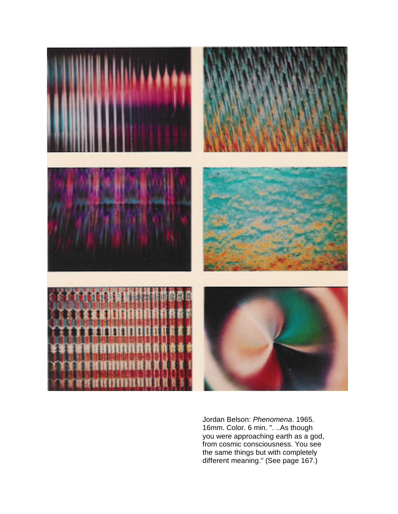

Jordan Belson: *Phenomena*. 1965. 16mm. Color. 6 min. ". ..As though you were approaching earth as a god, from cosmic consciousness. You see the same things but with completely different meaning." (See page 167.)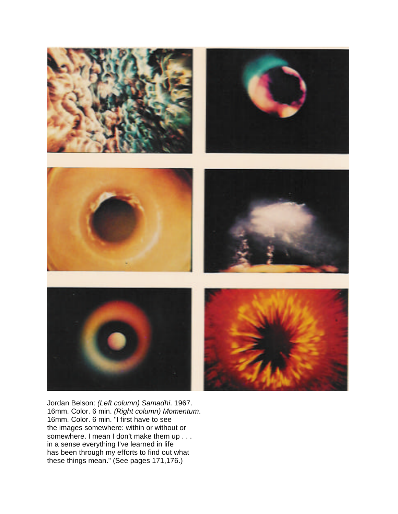

Jordan Belson: *(Left column) Samadhi*. 1967. 16mm. Color. 6 min. *(Right column) Momentum*. 16mm. Color. 6 min. "I first have to see the images somewhere: within or without or somewhere. I mean I don't make them up . . . in a sense everything I've learned in life has been through my efforts to find out what these things mean." (See pages 171,176.)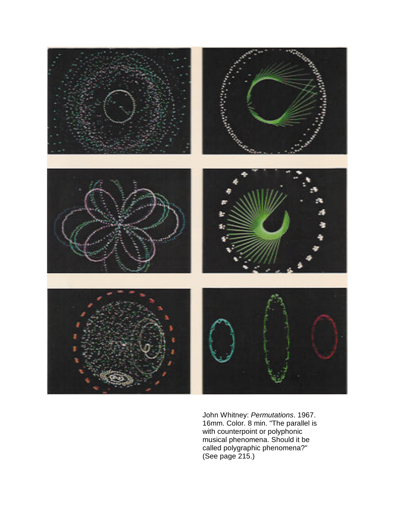

John Whitney: *Permutations*. 1967. 16mm. Color. 8 min. "The parallel is with counterpoint or polyphonic musical phenomena. Should it be called polygraphic phenomena?" (See page 215.)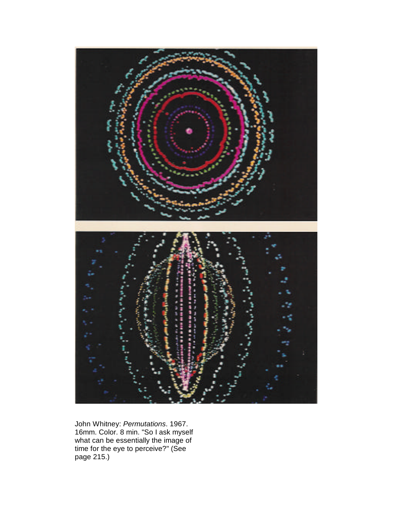

John Whitney: *Permutations*. 1967. 16mm. Color. 8 min. "So I ask myself what can be essentially the image of time for the eye to perceive?" (See page 215.)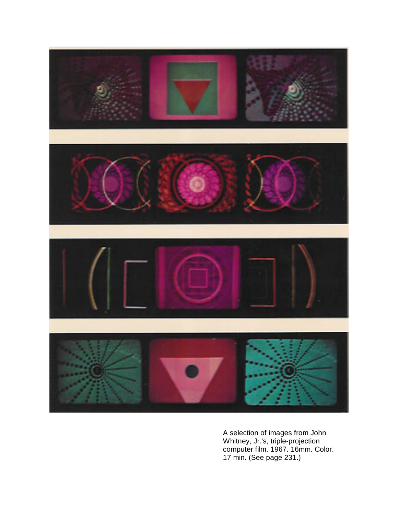

A selection of images from John Whitney, Jr.'s, triple-projection computer film. 1967. 16mm. Color. 17 min. (See page 231.)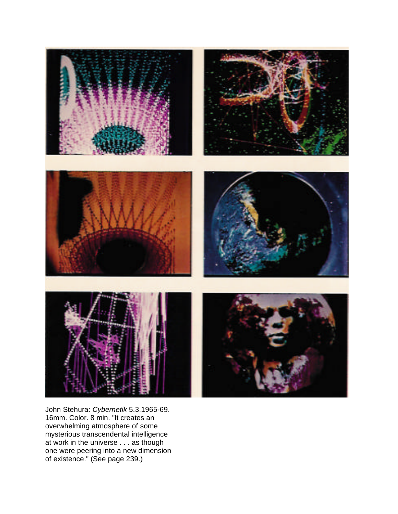

John Stehura: *Cybernetik* 5.3.1965-69. 16mm. Color. 8 min. "It creates an overwhelming atmosphere of some mysterious transcendental intelligence at work in the universe . . . as though one were peering into a new dimension of existence." (See page 239.)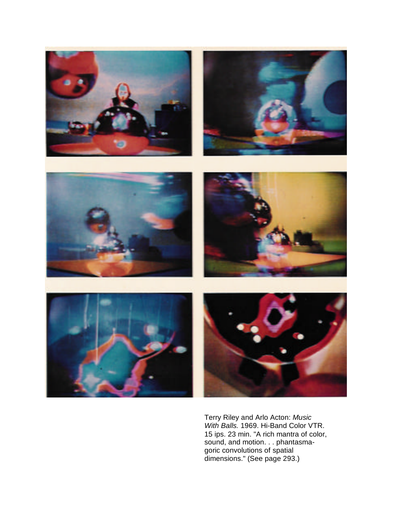

Terry Riley and Arlo Acton: *Music With Balls.* 1969. Hi-Band Color VTR. 15 ips. 23 min. "A rich mantra of color, sound, and motion. . . phantasmagoric convolutions of spatial dimensions." (See page 293.)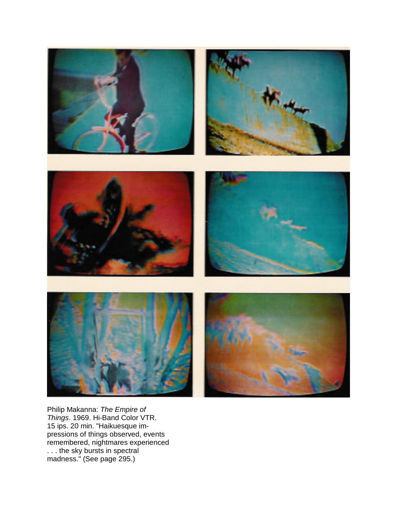

Philip Makanna: *The Empire of Things*. 1969. Hi-Band Color VTR. 15 ips. 20 min. "Haikuesque impressions of things observed, events remembered, nightmares experienced . . . the sky bursts in spectral madness." (See page 295.)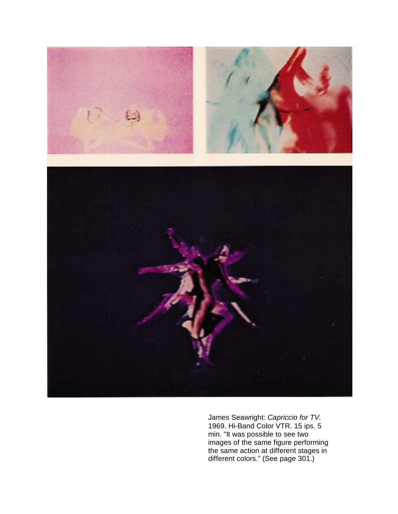

James Seawright: *Capriccio for TV.* 1969. Hi-Band Color VTR. 15 ips. 5 min. "It was possible to see two images of the same figure performing the same action at different stages in different colors." (See page 301.)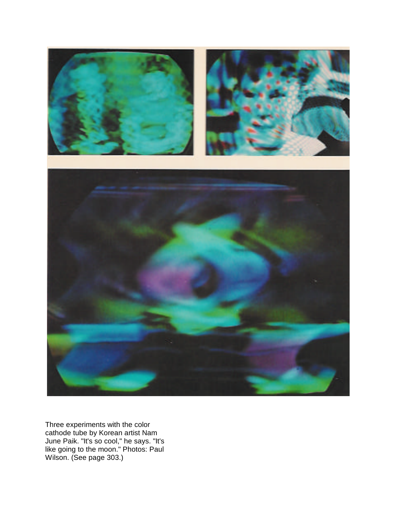

Three experiments with the color cathode tube by Korean artist Nam June Paik. "It's so cool," he says. "It's like going to the moon." Photos: Paul Wilson. (See page 303.)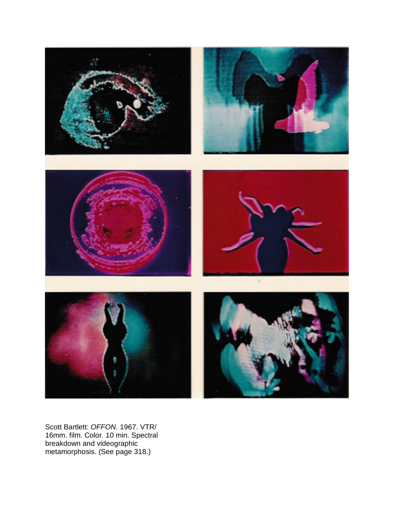

Scott Bartlett: *OFFON*. 1967. VTR/ 16mm. film. Color. 10 min. Spectral breakdown and videographic metamorphosis. (See page 318.)